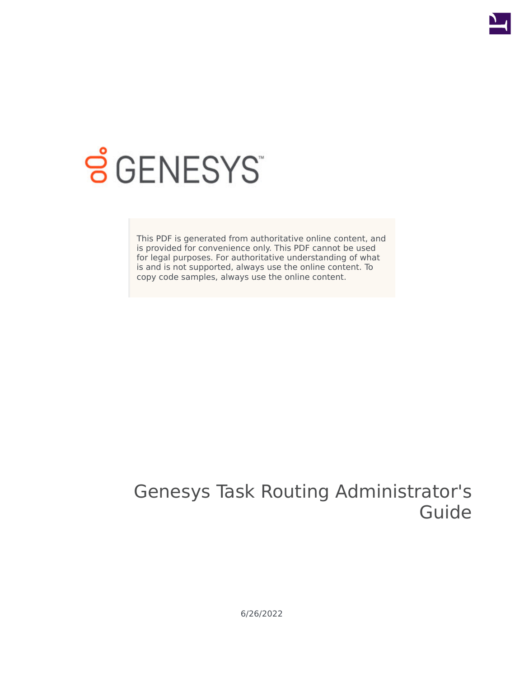

# **SGENESYS**

This PDF is generated from authoritative online content, and is provided for convenience only. This PDF cannot be used for legal purposes. For authoritative understanding of what is and is not supported, always use the online content. To copy code samples, always use the online content.

# Genesys Task Routing Administrator's Guide

6/26/2022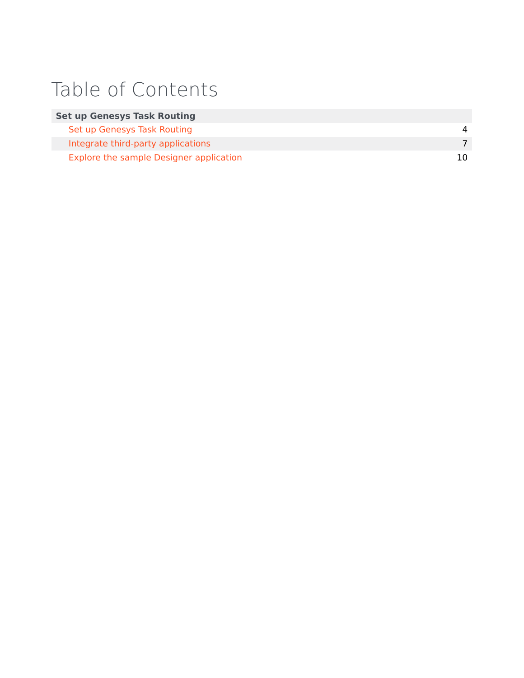# Table of Contents

| <b>Set up Genesys Task Routing</b>      |     |
|-----------------------------------------|-----|
| Set up Genesys Task Routing             | 4   |
| Integrate third-party applications      |     |
| Explore the sample Designer application | 10. |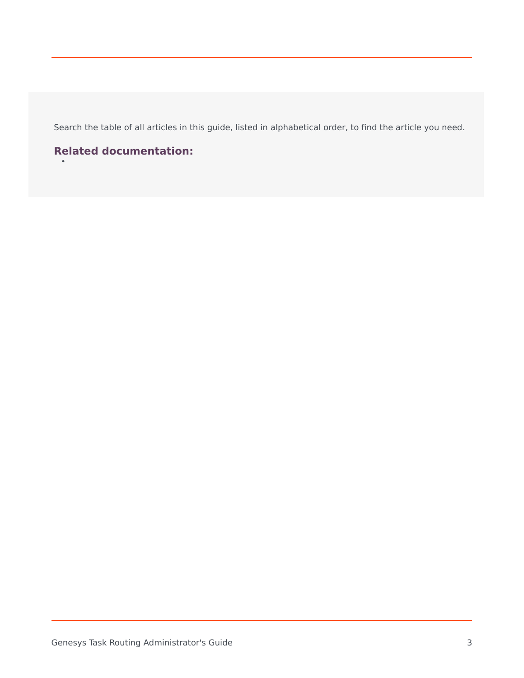Search the table of all articles in this guide, listed in alphabetical order, to find the article you need.

# **Related documentation:**

•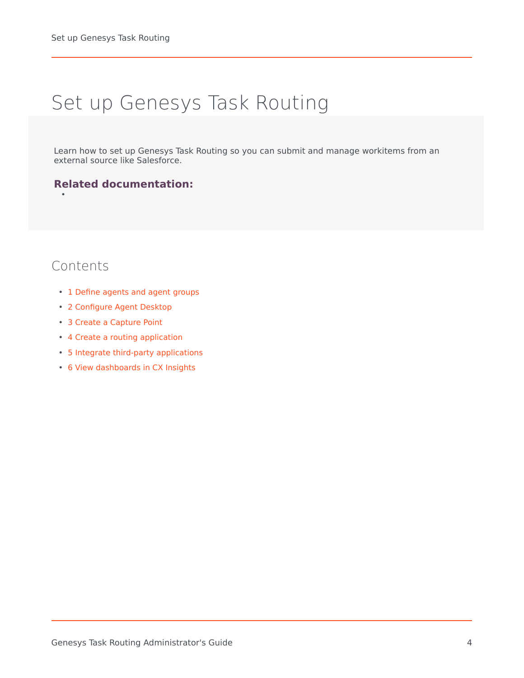# <span id="page-3-0"></span>Set up Genesys Task Routing

Learn how to set up Genesys Task Routing so you can submit and manage workitems from an external source like Salesforce.

### **Related documentation:**

# Contents

•

- 1 [Define agents and agent groups](#page-4-0)
- 2 [Configure Agent Desktop](#page-4-1)
- 3 [Create a Capture Point](#page-4-2)
- 4 [Create a routing application](#page-5-0)
- 5 [Integrate third-party applications](#page-5-1)
- 6 [View dashboards in CX Insights](#page-5-2)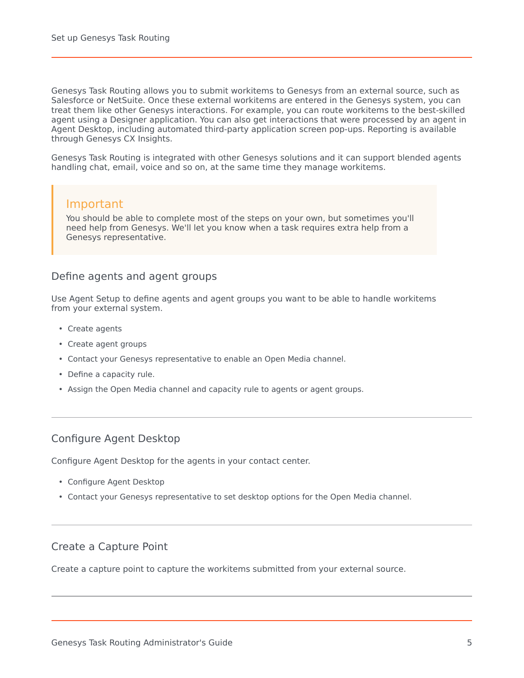Genesys Task Routing allows you to submit workitems to Genesys from an external source, such as Salesforce or NetSuite. Once these external workitems are entered in the Genesys system, you can treat them like other Genesys interactions. For example, you can route workitems to the best-skilled agent using a Designer application. You can also get interactions that were processed by an agent in Agent Desktop, including automated third-party application screen pop-ups. Reporting is available through Genesys CX Insights.

Genesys Task Routing is integrated with other Genesys solutions and it can support blended agents handling chat, email, voice and so on, at the same time they manage workitems.

#### Important

You should be able to complete most of the steps on your own, but sometimes you'll need help from Genesys. We'll let you know when a task requires extra help from a Genesys representative.

#### <span id="page-4-0"></span>Define agents and agent groups

Use Agent Setup to define agents and agent groups you want to be able to handle workitems from your external system.

- Create agents
- Create agent groups
- Contact your Genesys representative to enable an Open Media channel.
- Define a capacity rule.
- Assign the Open Media channel and capacity rule to agents or agent groups.

#### <span id="page-4-1"></span>Configure Agent Desktop

Configure Agent Desktop for the agents in your contact center.

- Configure Agent Desktop
- Contact your Genesys representative to set desktop options for the Open Media channel.

#### <span id="page-4-2"></span>Create a Capture Point

Create a capture point to capture the workitems submitted from your external source.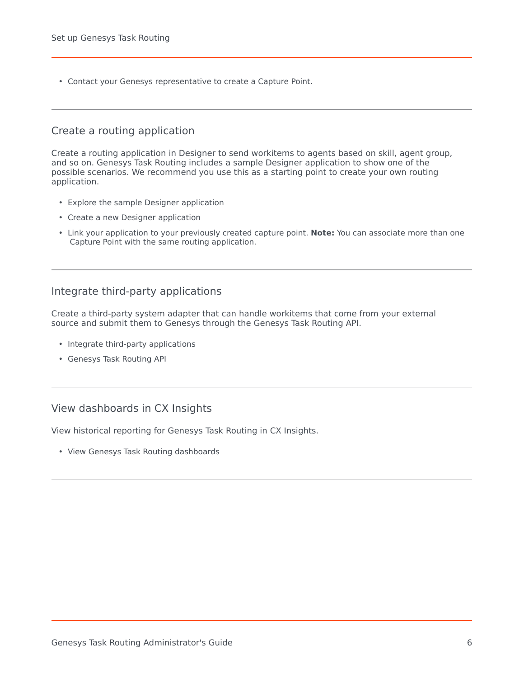• Contact your Genesys representative to create a Capture Point.

#### <span id="page-5-0"></span>Create a routing application

Create a routing application in Designer to send workitems to agents based on skill, agent group, and so on. Genesys Task Routing includes a sample Designer application to show one of the possible scenarios. We recommend you use this as a starting point to create your own routing application.

- Explore the sample Designer application
- Create a new Designer application
- Link your application to your previously created capture point. **Note:** You can associate more than one Capture Point with the same routing application.

#### <span id="page-5-1"></span>Integrate third-party applications

Create a third-party system adapter that can handle workitems that come from your external source and submit them to Genesys through the Genesys Task Routing API.

- Integrate third-party applications
- Genesys Task Routing API

### <span id="page-5-2"></span>View dashboards in CX Insights

View historical reporting for Genesys Task Routing in CX Insights.

• View Genesys Task Routing dashboards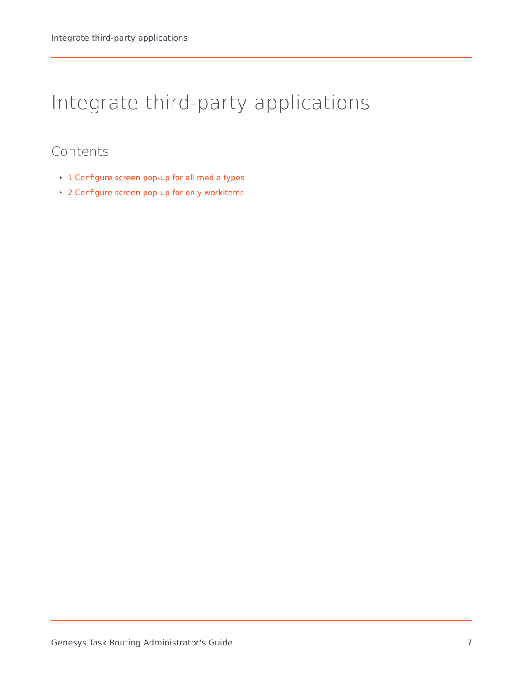# <span id="page-6-0"></span>Integrate third-party applications

# Contents

- 1 [Configure screen pop-up for all media types](#page-7-0)
- 2 [Configure screen pop-up for only workitems](#page-8-0)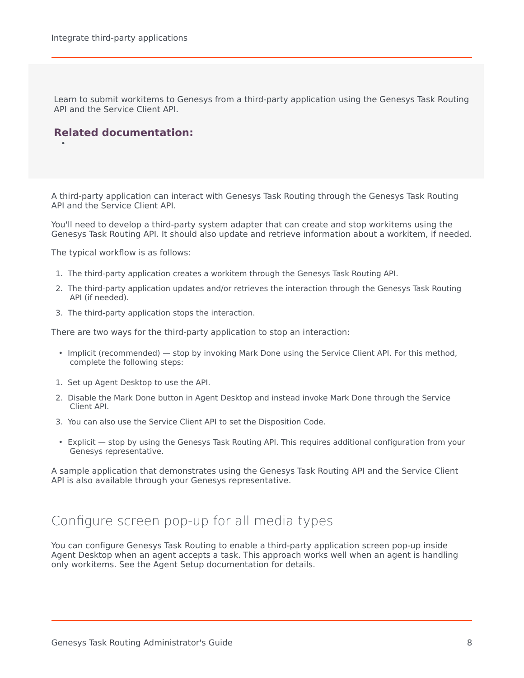Learn to submit workitems to Genesys from a third-party application using the Genesys Task Routing API and the Service Client API.

### **Related documentation:**

•

A third-party application can interact with Genesys Task Routing through the Genesys Task Routing API and the Service Client API.

You'll need to develop a third-party system adapter that can create and stop workitems using the Genesys Task Routing API. It should also update and retrieve information about a workitem, if needed.

The typical workflow is as follows:

- 1. The third-party application creates a workitem through the Genesys Task Routing API.
- 2. The third-party application updates and/or retrieves the interaction through the Genesys Task Routing API (if needed).
- 3. The third-party application stops the interaction.

There are two ways for the third-party application to stop an interaction:

- Implicit (recommended) stop by invoking Mark Done using the Service Client API. For this method, complete the following steps:
- 1. Set up Agent Desktop to use the API.
- 2. Disable the Mark Done button in Agent Desktop and instead invoke Mark Done through the Service Client API.
- 3. You can also use the Service Client API to set the Disposition Code.
- Explicit stop by using the Genesys Task Routing API. This requires additional configuration from your Genesys representative.

A sample application that demonstrates using the Genesys Task Routing API and the Service Client API is also available through your Genesys representative.

# <span id="page-7-0"></span>Configure screen pop-up for all media types

You can configure Genesys Task Routing to enable a third-party application screen pop-up inside Agent Desktop when an agent accepts a task. This approach works well when an agent is handling only workitems. See the Agent Setup documentation for details.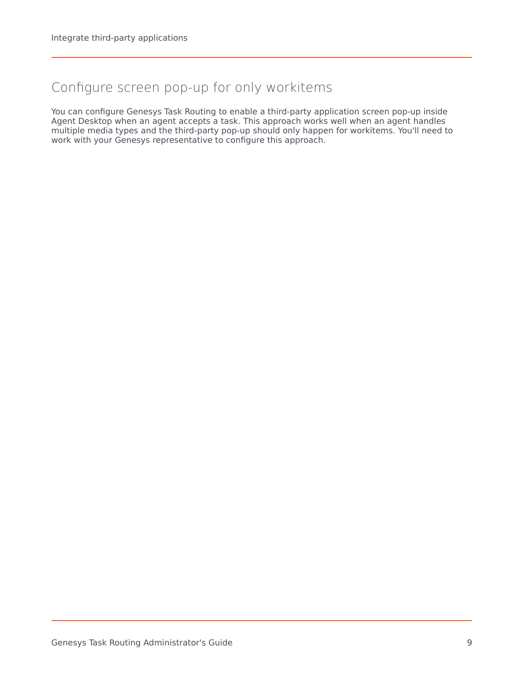# <span id="page-8-0"></span>Configure screen pop-up for only workitems

You can configure Genesys Task Routing to enable a third-party application screen pop-up inside Agent Desktop when an agent accepts a task. This approach works well when an agent handles multiple media types and the third-party pop-up should only happen for workitems. You'll need to work with your Genesys representative to configure this approach.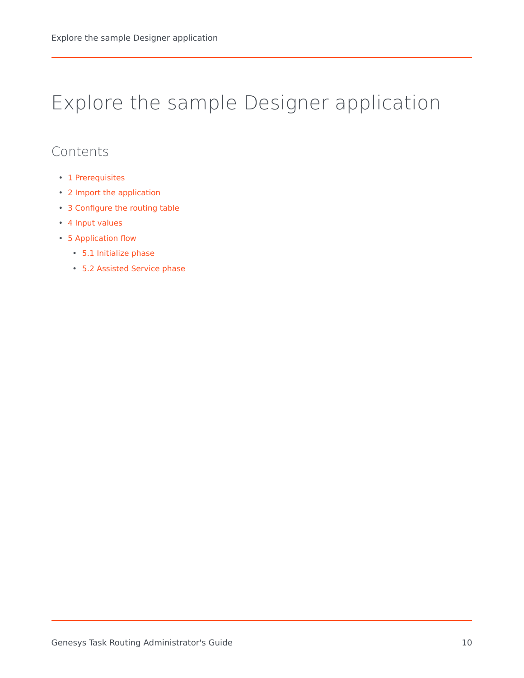# <span id="page-9-0"></span>Explore the sample Designer application

# Contents

- 1 [Prerequisites](#page-10-0)
- 2 [Import the application](#page-11-0)
- 3 [Configure the routing table](#page-11-1)
- 4 [Input values](#page-11-2)
- 5 [Application flow](#page-12-0)
	- 5.1 [Initialize phase](#page-12-1)
	- 5.2 [Assisted Service phase](#page-13-0)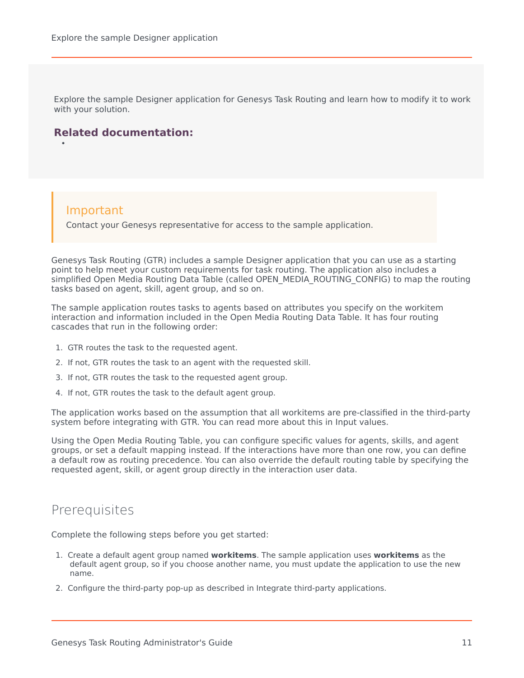Explore the sample Designer application for Genesys Task Routing and learn how to modify it to work with your solution.

### **Related documentation:**

### Important

•

Contact your Genesys representative for access to the sample application.

Genesys Task Routing (GTR) includes a sample Designer application that you can use as a starting point to help meet your custom requirements for task routing. The application also includes a simplified Open Media Routing Data Table (called OPEN\_MEDIA\_ROUTING\_CONFIG) to map the routing tasks based on agent, skill, agent group, and so on.

The sample application routes tasks to agents based on attributes you specify on the workitem interaction and information included in the Open Media Routing Data Table. It has four routing cascades that run in the following order:

- 1. GTR routes the task to the requested agent.
- 2. If not, GTR routes the task to an agent with the requested skill.
- 3. If not, GTR routes the task to the requested agent group.
- 4. If not, GTR routes the task to the default agent group.

The application works based on the assumption that all workitems are pre-classified in the third-party system before integrating with GTR. You can read more about this in Input values.

Using the Open Media Routing Table, you can configure specific values for agents, skills, and agent groups, or set a default mapping instead. If the interactions have more than one row, you can define a default row as routing precedence. You can also override the default routing table by specifying the requested agent, skill, or agent group directly in the interaction user data.

## <span id="page-10-0"></span>Prerequisites

Complete the following steps before you get started:

- 1. Create a default agent group named **workitems**. The sample application uses **workitems** as the default agent group, so if you choose another name, you must update the application to use the new name.
- 2. Configure the third-party pop-up as described in Integrate third-party applications.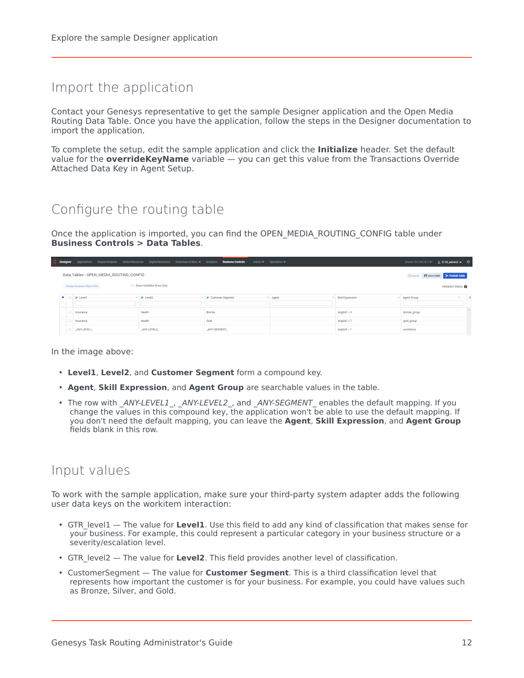# <span id="page-11-0"></span>Import the application

Contact your Genesys representative to get the sample Designer application and the Open Media Routing Data Table. Once you have the application, follow the steps in the Designer documentation to import the application.

To complete the setup, edit the sample application and click the **Initialize** header. Set the default value for the **overrideKeyName** variable — you can get this value from the Transactions Override Attached Data Key in Agent Setup.

# <span id="page-11-1"></span>Configure the routing table

Once the application is imported, you can find the OPEN\_MEDIA\_ROUTING\_CONFIG table under **Business Controls > Data Tables**.

|  | Designer Applications Shared Modules Media Resources Digital Resources Grammars & Bots v Analytics Business Controls Admin v Operations v |                         |                                  |  |       |                  |                      | Version: 9.0.100.18.1197 2 2118_admin3 v $\sqrt{2}$ |                    |     |
|--|-------------------------------------------------------------------------------------------------------------------------------------------|-------------------------|----------------------------------|--|-------|------------------|----------------------|-----------------------------------------------------|--------------------|-----|
|  | Data Tables - OPEN_MEDIA_ROUTING_CONFIG                                                                                                   |                         |                                  |  |       |                  | <b>O</b> Cancel      | Save Table > Publish Table                          |                    |     |
|  | <b>Display Business Object Diffs</b>                                                                                                      | Show Modified Rows Only |                                  |  |       |                  |                      |                                                     | Validation Status: |     |
|  | P Level1                                                                                                                                  | $\vee$ $\rho$ Level2    | $\vee$ <b>P</b> Customer Seqment |  | Agent | Skill Expression | $~\vee~$ Agent Group |                                                     | $\vee$             | $-$ |
|  | Insurance                                                                                                                                 | Health                  | Bronze                           |  |       | 'english' > 3    | bronze_group         |                                                     |                    |     |
|  | Insurance                                                                                                                                 | Health                  | Gold                             |  |       | 'english' > 7    | gold_group           |                                                     |                    |     |
|  | _ANY-LEVEL1                                                                                                                               | _ANY-LEVEL2             | _ANY-SEGMENT_                    |  |       | 'english' > 1    | workitems            |                                                     |                    |     |

In the image above:

- **Level1**, **Level2**, and **Customer Segment** form a compound key.
- **Agent**, **Skill Expression**, and **Agent Group** are searchable values in the table.
- The row with *\_ANY-LEVEL1\_*, *\_ANY-LEVEL2\_*, and *\_ANY-SEGMENT\_* enables the default mapping. If you change the values in this compound key, the application won't be able to use the default mapping. If you don't need the default mapping, you can leave the **Agent**, **Skill Expression**, and **Agent Group** fields blank in this row.

# <span id="page-11-2"></span>Input values

To work with the sample application, make sure your third-party system adapter adds the following user data keys on the workitem interaction:

- GTR\_level1 The value for **Level1**. Use this field to add any kind of classification that makes sense for your business. For example, this could represent a particular category in your business structure or a severity/escalation level.
- GTR\_level2 The value for **Level2**. This field provides another level of classification.
- CustomerSegment The value for **Customer Segment**. This is a third classification level that represents how important the customer is for your business. For example, you could have values such as Bronze, Silver, and Gold.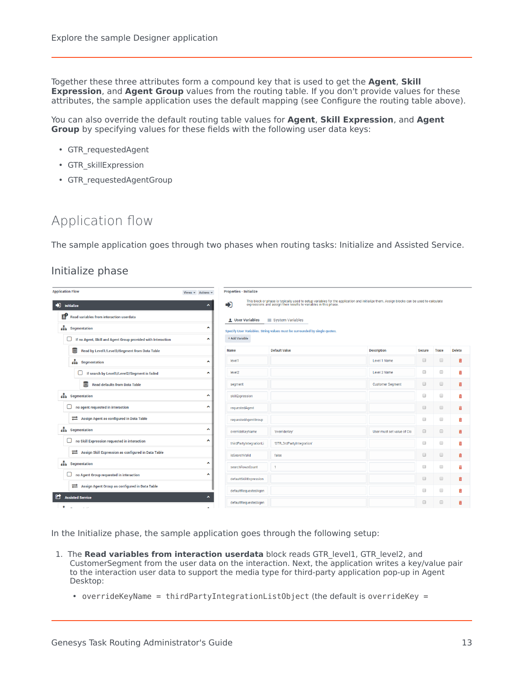Together these three attributes form a compound key that is used to get the **Agent**, **Skill Expression**, and **Agent Group** values from the routing table. If you don't provide values for these attributes, the sample application uses the default mapping (see Configure the routing table above).

You can also override the default routing table values for **Agent**, **Skill Expression**, and **Agent Group** by specifying values for these fields with the following user data keys:

- GTR\_requestedAgent
- GTR\_skillExpression
- GTR\_requestedAgentGroup

# <span id="page-12-0"></span>Application flow

The sample application goes through two phases when routing tasks: Initialize and Assisted Service.

#### <span id="page-12-1"></span>Initialize phase

| <b>Application Flow</b><br>Views $\div$ Actions $\div$                 | <b>Properties - Initialize</b> |                                                                                                                                                                                                              |                            |                      |              |               |
|------------------------------------------------------------------------|--------------------------------|--------------------------------------------------------------------------------------------------------------------------------------------------------------------------------------------------------------|----------------------------|----------------------|--------------|---------------|
| nitialize<br>∼                                                         | ♪                              | This block or phase is typically used to setup variables for the application and initialize them. Assign blocks can be used to calculate<br>expressions and assign their results to variables in this phase. |                            |                      |              |               |
| 탄<br><b>Read variables from interaction userdata</b>                   | <b>Q</b> User Variables        | <b>图 System Variables</b>                                                                                                                                                                                    |                            |                      |              |               |
| segmentation<br>ㅅ                                                      |                                | Specify User Variables. String values must be surrounded by single quotes.                                                                                                                                   |                            |                      |              |               |
| □<br>If no Agent, Skill and Agent Group provided with Interaction<br>∼ | + Add Variable                 |                                                                                                                                                                                                              |                            |                      |              |               |
| ⊌<br>Read by Level1/Level2/Segment from Data Table                     | <b>Name</b>                    | <b>Default Value</b>                                                                                                                                                                                         | <b>Description</b>         | <b>Secure</b>        | <b>Trace</b> | <b>Delete</b> |
| segmentation<br>∼                                                      | level1                         |                                                                                                                                                                                                              | Level 1 Name               | $\qquad \qquad \Box$ | $\Box$       | 亩             |
| o<br>If search by Level1/Level2/Segment is failed<br>^                 | level <sub>2</sub>             |                                                                                                                                                                                                              | Level 2 Name               | $\qquad \qquad \Box$ | $\Box$       | 亩             |
| Read defaults from Data Table                                          | segment                        |                                                                                                                                                                                                              | <b>Customer Segment</b>    | $\qquad \qquad \Box$ | $\Box$       | 亩             |
| <b>A</b> Segmentation<br>∼                                             | skillExpression                |                                                                                                                                                                                                              |                            | $\qquad \qquad \Box$ | $\Box$       | 亩             |
| no agent requested in interaction<br>U<br>۸                            | requestedAgent                 |                                                                                                                                                                                                              |                            | $\qquad \qquad \Box$ | $\Box$       | 亩             |
| Assign Agent as configured in Data Table                               | requestedAgentGroup            |                                                                                                                                                                                                              |                            | $\qquad \qquad \Box$ | $\Box$       | 亩             |
| segmentation<br>۸                                                      | overrideKeyName                | 'overrideKey'                                                                                                                                                                                                | User must set value of Clo | $\qquad \qquad \Box$ | $\Box$       | 亩             |
| О<br>no Skill Expression requested in interaction<br>∼                 | thirdPartyIntegrationLi        | 'GTR_3rdPartyIntegration'                                                                                                                                                                                    |                            | $\Box$               | $\Box$       | m             |
| Assign Skill Expression as configured in Data Table                    | isSearchValid                  | false                                                                                                                                                                                                        |                            | $\qquad \qquad \Box$ | $\Box$       | 亩             |
| segmentation<br>^                                                      | searchRowsCount                |                                                                                                                                                                                                              |                            | $\qquad \qquad \Box$ | $\Box$       | û             |
| no Agent Group requested in interaction<br>∼                           | defaultSkillExpression         |                                                                                                                                                                                                              |                            | $\qquad \qquad \Box$ | $\Box$       | û             |
| Assign Agent Group as configured in Data Table                         | defaultRequestedAgen           |                                                                                                                                                                                                              |                            | $\Box$               | $\Box$       | ñ             |
| n<br><b>Assisted Service</b><br>∼                                      | defaultRequestedAgen           |                                                                                                                                                                                                              |                            | $\Box$               | $\Box$       |               |
| ۰<br>the contract of                                                   |                                |                                                                                                                                                                                                              |                            |                      |              |               |

In the Initialize phase, the sample application goes through the following setup:

- 1. The **Read variables from interaction userdata** block reads GTR\_level1, GTR\_level2, and CustomerSegment from the user data on the interaction. Next, the application writes a key/value pair to the interaction user data to support the media type for third-party application pop-up in Agent Desktop:
	- overrideKeyName = thirdPartyIntegrationListObject (the default is overrideKey =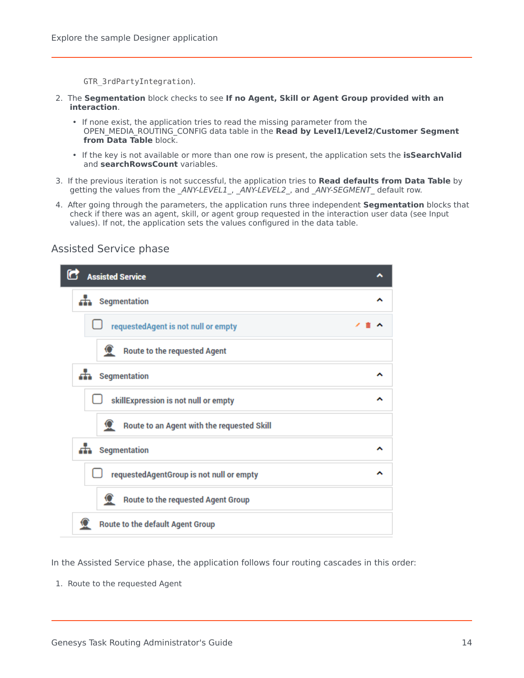GTR\_3rdPartyIntegration).

- 2. The **Segmentation** block checks to see **If no Agent, Skill or Agent Group provided with an interaction**.
	- If none exist, the application tries to read the missing parameter from the OPEN\_MEDIA\_ROUTING\_CONFIG data table in the **Read by Level1/Level2/Customer Segment from Data Table** block.
	- If the key is not available or more than one row is present, the application sets the **isSearchValid** and **searchRowsCount** variables.
- 3. If the previous iteration is not successful, the application tries to **Read defaults from Data Table** by getting the values from the *\_ANY-LEVEL1\_*, *\_ANY-LEVEL2\_*, and *\_ANY-SEGMENT\_* default row.
- 4. After going through the parameters, the application runs three independent **Segmentation** blocks that check if there was an agent, skill, or agent group requested in the interaction user data (see Input values). If not, the application sets the values configured in the data table.

^

ㅅ

 $\lambda$ 

^

^

^

ㅅ

# G **Assisted Service n** Segmentation requestedAgent is not null or empty **Route to the requested Agent** d. Segmentation skillExpression is not null or empty Route to an Agent with the requested Skill **n** Segmentation requestedAgentGroup is not null or empty Route to the requested Agent Group Q **Route to the default Agent Group**

### <span id="page-13-0"></span>Assisted Service phase

In the Assisted Service phase, the application follows four routing cascades in this order:

1. Route to the requested Agent